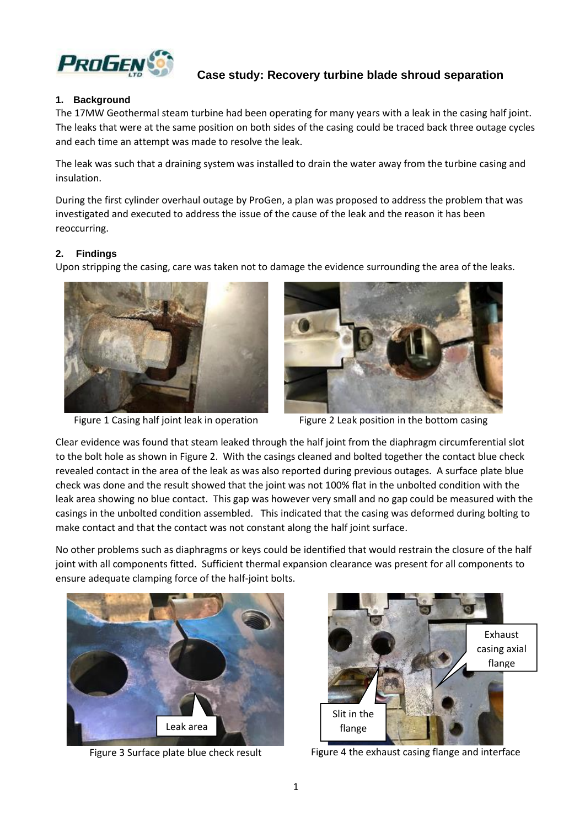

# **Case study: Recovery turbine blade shroud separation**

### **1. Background**

The 17MW Geothermal steam turbine had been operating for many years with a leak in the casing half joint. The leaks that were at the same position on both sides of the casing could be traced back three outage cycles and each time an attempt was made to resolve the leak.

The leak was such that a draining system was installed to drain the water away from the turbine casing and insulation.

During the first cylinder overhaul outage by ProGen, a plan was proposed to address the problem that was investigated and executed to address the issue of the cause of the leak and the reason it has been reoccurring.

#### **2. Findings**

Upon stripping the casing, care was taken not to damage the evidence surrounding the area of the leaks.





Figure 1 Casing half joint leak in operation Figure 2 Leak position in the bottom casing

Clear evidence was found that steam leaked through the half joint from the diaphragm circumferential slot to the bolt hole as shown in Figure 2. With the casings cleaned and bolted together the contact blue check revealed contact in the area of the leak as was also reported during previous outages. A surface plate blue check was done and the result showed that the joint was not 100% flat in the unbolted condition with the leak area showing no blue contact. This gap was however very small and no gap could be measured with the casings in the unbolted condition assembled. This indicated that the casing was deformed during bolting to make contact and that the contact was not constant along the half joint surface.

No other problems such as diaphragms or keys could be identified that would restrain the closure of the half joint with all components fitted. Sufficient thermal expansion clearance was present for all components to ensure adequate clamping force of the half-joint bolts.





Figure 3 Surface plate blue check result Figure 4 the exhaust casing flange and interface